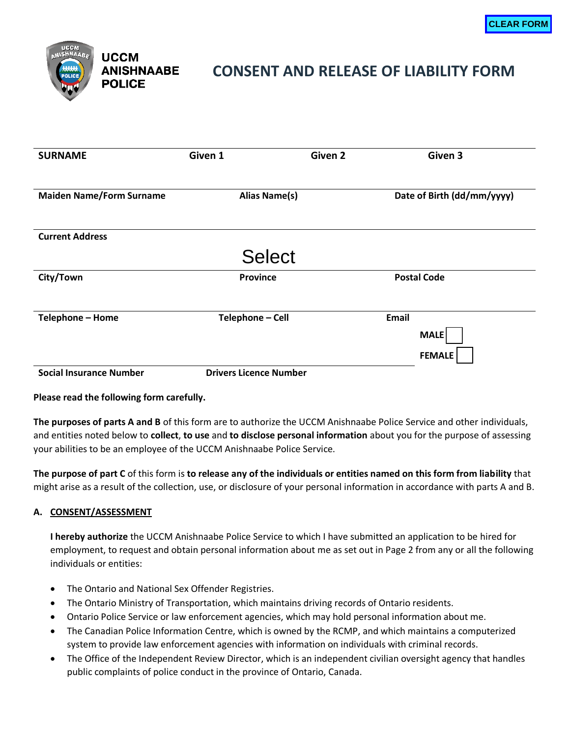

# **CONSENT AND RELEASE OF LIABILITY FORM**

| UCCM<br>ANISHNAABE<br><b>UCCM</b><br><b>MAMA</b><br><b>ANISHNAABE</b><br><b>POLICE</b><br><b>POLICE</b> | <b>CLEAR FORM</b><br><b>CONSENT AND RELEASE OF LIABILITY FORM</b> |                |                              |
|---------------------------------------------------------------------------------------------------------|-------------------------------------------------------------------|----------------|------------------------------|
| <b>SURNAME</b>                                                                                          | Given 1                                                           | <b>Given 2</b> | Given 3                      |
| <b>Maiden Name/Form Surname</b>                                                                         | <b>Alias Name(s)</b>                                              |                | Date of Birth (dd/mm/yyyy)   |
| <b>Current Address</b>                                                                                  |                                                                   |                |                              |
|                                                                                                         | <b>Select</b>                                                     |                |                              |
| City/Town                                                                                               | <b>Province</b>                                                   |                | <b>Postal Code</b>           |
| Telephone - Home                                                                                        | Telephone - Cell                                                  | <b>Email</b>   | <b>MALE</b><br><b>FEMALE</b> |
| <b>Social Insurance Number</b>                                                                          | <b>Drivers Licence Number</b>                                     |                |                              |

**Please read the following form carefully.**

**The purposes of parts A and B** of this form are to authorize the UCCM Anishnaabe Police Service and other individuals, and entities noted below to **collect**, **to use** and **to disclose personal information** about you for the purpose of assessing your abilities to be an employee of the UCCM Anishnaabe Police Service.

**The purpose of part C** of this form is **to release any of the individuals or entities named on this form from liability** that might arise as a result of the collection, use, or disclosure of your personal information in accordance with parts A and B.

## **A. CONSENT/ASSESSMENT**

**I hereby authorize** the UCCM Anishnaabe Police Service to which I have submitted an application to be hired for employment, to request and obtain personal information about me as set out in Page 2 from any or all the following individuals or entities:

- The Ontario and National Sex Offender Registries.
- The Ontario Ministry of Transportation, which maintains driving records of Ontario residents.
- Ontario Police Service or law enforcement agencies, which may hold personal information about me.
- The Canadian Police Information Centre, which is owned by the RCMP, and which maintains a computerized system to provide law enforcement agencies with information on individuals with criminal records.
- The Office of the Independent Review Director, which is an independent civilian oversight agency that handles public complaints of police conduct in the province of Ontario, Canada.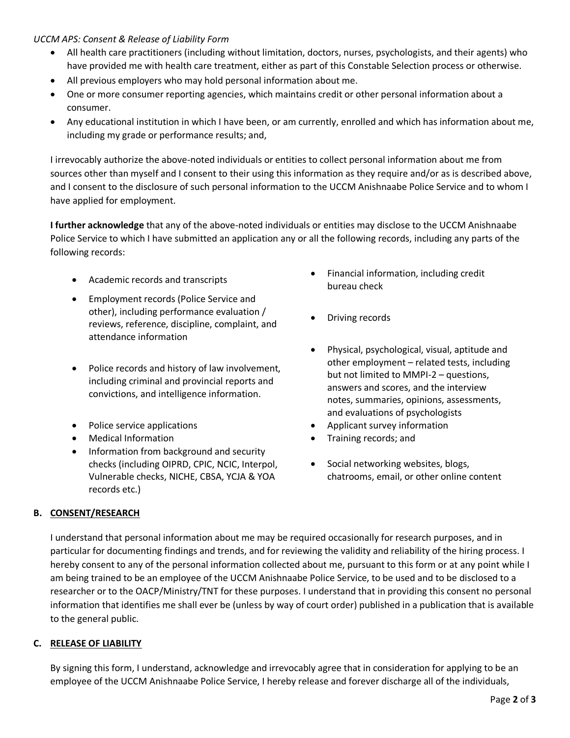### *UCCM APS: Consent & Release of Liability Form*

- All health care practitioners (including without limitation, doctors, nurses, psychologists, and their agents) who have provided me with health care treatment, either as part of this Constable Selection process or otherwise.
- All previous employers who may hold personal information about me.
- One or more consumer reporting agencies, which maintains credit or other personal information about a consumer.
- Any educational institution in which I have been, or am currently, enrolled and which has information about me, including my grade or performance results; and,

I irrevocably authorize the above-noted individuals or entities to collect personal information about me from sources other than myself and I consent to their using this information as they require and/or as is described above, and I consent to the disclosure of such personal information to the UCCM Anishnaabe Police Service and to whom I have applied for employment.

**I further acknowledge** that any of the above-noted individuals or entities may disclose to the UCCM Anishnaabe Police Service to which I have submitted an application any or all the following records, including any parts of the following records:

- Academic records and transcripts
- Employment records (Police Service and other), including performance evaluation / reviews, reference, discipline, complaint, and attendance information
- Police records and history of law involvement, including criminal and provincial reports and convictions, and intelligence information.
- 
- 
- Information from background and security checks (including OIPRD, CPIC, NCIC, Interpol, Vulnerable checks, NICHE, CBSA, YCJA & YOA records etc.)
- Financial information, including credit bureau check
- Driving records
- Physical, psychological, visual, aptitude and other employment – related tests, including but not limited to MMPI-2 – questions, answers and scores, and the interview notes, summaries, opinions, assessments, and evaluations of psychologists
- Police service applications **•** Applicant survey information
- Medical Information **•** Training records; and
	- Social networking websites, blogs, chatrooms, email, or other online content

### **B. CONSENT/RESEARCH**

I understand that personal information about me may be required occasionally for research purposes, and in particular for documenting findings and trends, and for reviewing the validity and reliability of the hiring process. I hereby consent to any of the personal information collected about me, pursuant to this form or at any point while I am being trained to be an employee of the UCCM Anishnaabe Police Service, to be used and to be disclosed to a researcher or to the OACP/Ministry/TNT for these purposes. I understand that in providing this consent no personal information that identifies me shall ever be (unless by way of court order) published in a publication that is available to the general public.

### **C. RELEASE OF LIABILITY**

By signing this form, I understand, acknowledge and irrevocably agree that in consideration for applying to be an employee of the UCCM Anishnaabe Police Service, I hereby release and forever discharge all of the individuals,